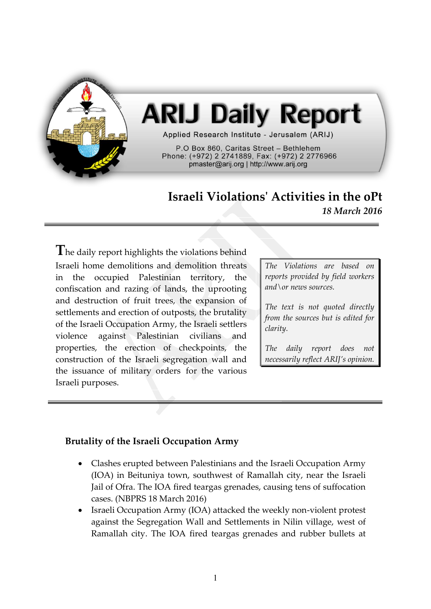

# **ARIJ Daily Report**

Applied Research Institute - Jerusalem (ARIJ)

P.O Box 860. Caritas Street - Bethlehem Phone: (+972) 2 2741889, Fax: (+972) 2 2776966 pmaster@arij.org | http://www.arij.org

## **Israeli Violations' Activities in the oPt** *18 March 2016*

The daily report highlights the violations behind Israeli home demolitions and demolition threats in the occupied Palestinian territory, the confiscation and razing of lands, the uprooting and destruction of fruit trees, the expansion of settlements and erection of outposts, the brutality of the Israeli Occupation Army, the Israeli settlers violence against Palestinian civilians and properties, the erection of checkpoints, the construction of the Israeli segregation wall and the issuance of military orders for the various Israeli purposes.

*The Violations are based on reports provided by field workers and\or news sources.*

*The text is not quoted directly from the sources but is edited for clarity.*

*The daily report does not necessarily reflect ARIJ's opinion.*

#### **Brutality of the Israeli Occupation Army**

- Clashes erupted between Palestinians and the Israeli Occupation Army (IOA) in Beituniya town, southwest of Ramallah city, near the Israeli Jail of Ofra. The IOA fired teargas grenades, causing tens of suffocation cases. (NBPRS 18 March 2016)
- Israeli Occupation Army (IOA) attacked the weekly non-violent protest against the Segregation Wall and Settlements in Nilin village, west of Ramallah city. The IOA fired teargas grenades and rubber bullets at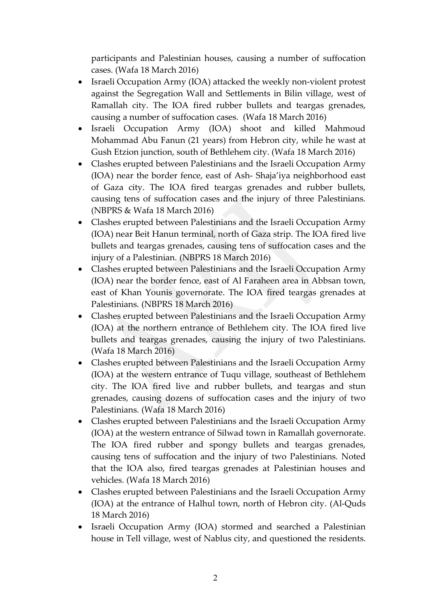participants and Palestinian houses, causing a number of suffocation cases. (Wafa 18 March 2016)

- Israeli Occupation Army (IOA) attacked the weekly non-violent protest against the Segregation Wall and Settlements in Bilin village, west of Ramallah city. The IOA fired rubber bullets and teargas grenades, causing a number of suffocation cases. (Wafa 18 March 2016)
- Israeli Occupation Army (IOA) shoot and killed Mahmoud Mohammad Abu Fanun (21 years) from Hebron city, while he wast at Gush Etzion junction, south of Bethlehem city. (Wafa 18 March 2016)
- Clashes erupted between Palestinians and the Israeli Occupation Army (IOA) near the border fence, east of Ash- Shaja'iya neighborhood east of Gaza city. The IOA fired teargas grenades and rubber bullets, causing tens of suffocation cases and the injury of three Palestinians. (NBPRS & Wafa 18 March 2016)
- Clashes erupted between Palestinians and the Israeli Occupation Army (IOA) near Beit Hanun terminal, north of Gaza strip. The IOA fired live bullets and teargas grenades, causing tens of suffocation cases and the injury of a Palestinian. (NBPRS 18 March 2016)
- Clashes erupted between Palestinians and the Israeli Occupation Army (IOA) near the border fence, east of Al Faraheen area in Abbsan town, east of Khan Younis governorate. The IOA fired teargas grenades at Palestinians. (NBPRS 18 March 2016)
- Clashes erupted between Palestinians and the Israeli Occupation Army (IOA) at the northern entrance of Bethlehem city. The IOA fired live bullets and teargas grenades, causing the injury of two Palestinians. (Wafa 18 March 2016)
- Clashes erupted between Palestinians and the Israeli Occupation Army (IOA) at the western entrance of Tuqu village, southeast of Bethlehem city. The IOA fired live and rubber bullets, and teargas and stun grenades, causing dozens of suffocation cases and the injury of two Palestinians. (Wafa 18 March 2016)
- Clashes erupted between Palestinians and the Israeli Occupation Army (IOA) at the western entrance of Silwad town in Ramallah governorate. The IOA fired rubber and spongy bullets and teargas grenades, causing tens of suffocation and the injury of two Palestinians. Noted that the IOA also, fired teargas grenades at Palestinian houses and vehicles. (Wafa 18 March 2016)
- Clashes erupted between Palestinians and the Israeli Occupation Army (IOA) at the entrance of Halhul town, north of Hebron city. (Al-Quds 18 March 2016)
- Israeli Occupation Army (IOA) stormed and searched a Palestinian house in Tell village, west of Nablus city, and questioned the residents.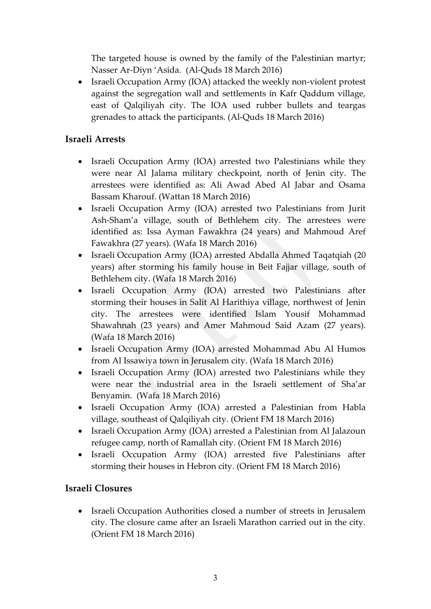The targeted house is owned by the family of the Palestinian martyr; Nasser Ar-Diyn 'Asida. (Al-Quds 18 March 2016)

• Israeli Occupation Army (IOA) attacked the weekly non-violent protest against the segregation wall and settlements in Kafr Qaddum village, east of Qalqiliyah city. The IOA used rubber bullets and teargas grenades to attack the participants. (Al-Quds 18 March 2016)

#### **Israeli Arrests**

- Israeli Occupation Army (IOA) arrested two Palestinians while they were near Al Jalama military checkpoint, north of Jenin city. The arrestees were identified as: Ali Awad Abed Al Jabar and Osama Bassam Kharouf. (Wattan 18 March 2016)
- Israeli Occupation Army (IOA) arrested two Palestinians from Jurit Ash-Sham'a village, south of Bethlehem city. The arrestees were identified as: Issa Ayman Fawakhra (24 years) and Mahmoud Aref Fawakhra (27 years). (Wafa 18 March 2016)
- Israeli Occupation Army (IOA) arrested Abdalla Ahmed Taqatqiah (20 years) after storming his family house in Beit Fajjar village, south of Bethlehem city. (Wafa 18 March 2016)
- Israeli Occupation Army (IOA) arrested two Palestinians after storming their houses in Salit Al Harithiya village, northwest of Jenin city. The arrestees were identified Islam Yousif Mohammad Shawahnah (23 years) and Amer Mahmoud Said Azam (27 years). (Wafa 18 March 2016)
- Israeli Occupation Army (IOA) arrested Mohammad Abu Al Humos from Al Issawiya town in Jerusalem city. (Wafa 18 March 2016)
- Israeli Occupation Army (IOA) arrested two Palestinians while they were near the industrial area in the Israeli settlement of Sha'ar Benyamin. (Wafa 18 March 2016)
- Israeli Occupation Army (IOA) arrested a Palestinian from Habla village, southeast of Qalqiliyah city. (Orient FM 18 March 2016)
- Israeli Occupation Army (IOA) arrested a Palestinian from Al Jalazoun refugee camp, north of Ramallah city. (Orient FM 18 March 2016)
- Israeli Occupation Army (IOA) arrested five Palestinians after storming their houses in Hebron city. (Orient FM 18 March 2016)

#### **Israeli Closures**

 Israeli Occupation Authorities closed a number of streets in Jerusalem city. The closure came after an Israeli Marathon carried out in the city. (Orient FM 18 March 2016)